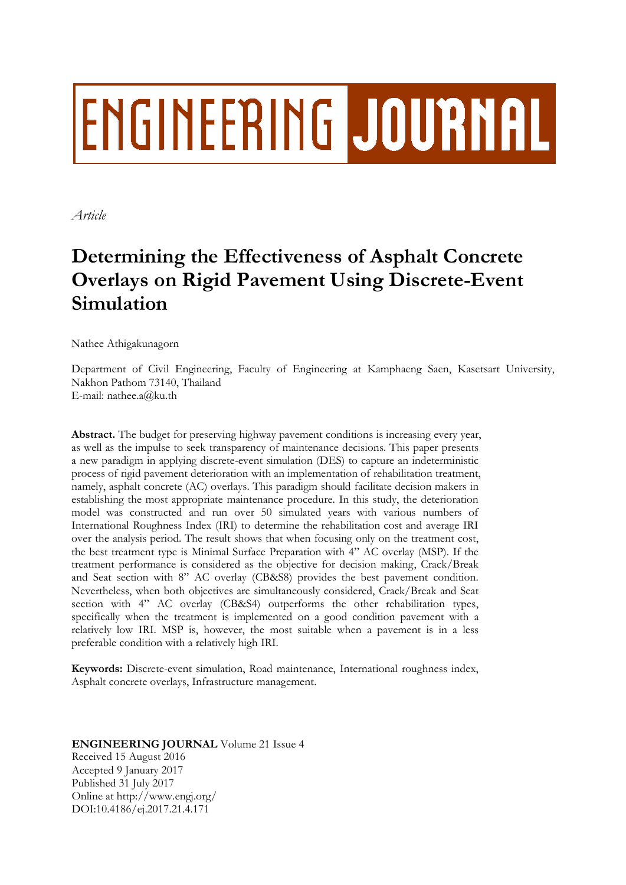# ENGINEERING JOURNAL

*Article*

# **Determining the Effectiveness of Asphalt Concrete Overlays on Rigid Pavement Using Discrete-Event Simulation**

Nathee Athigakunagorn

Department of Civil Engineering, Faculty of Engineering at Kamphaeng Saen, Kasetsart University, Nakhon Pathom 73140, Thailand E-mail: nathee.a@ku.th

Abstract. The budget for preserving highway pavement conditions is increasing every year, as well as the impulse to seek transparency of maintenance decisions. This paper presents a new paradigm in applying discrete-event simulation (DES) to capture an indeterministic process of rigid pavement deterioration with an implementation of rehabilitation treatment, namely, asphalt concrete (AC) overlays. This paradigm should facilitate decision makers in establishing the most appropriate maintenance procedure. In this study, the deterioration model was constructed and run over 50 simulated years with various numbers of International Roughness Index (IRI) to determine the rehabilitation cost and average IRI over the analysis period. The result shows that when focusing only on the treatment cost, the best treatment type is Minimal Surface Preparation with 4" AC overlay (MSP). If the treatment performance is considered as the objective for decision making, Crack/Break and Seat section with 8" AC overlay (CB&S8) provides the best pavement condition. Nevertheless, when both objectives are simultaneously considered, Crack/Break and Seat section with 4" AC overlay (CB&S4) outperforms the other rehabilitation types, specifically when the treatment is implemented on a good condition pavement with a relatively low IRI. MSP is, however, the most suitable when a pavement is in a less preferable condition with a relatively high IRI.

**Keywords:** Discrete-event simulation, Road maintenance, International roughness index, Asphalt concrete overlays, Infrastructure management.

# **ENGINEERING JOURNAL** Volume 21 Issue 4 Received 15 August 2016 Accepted 9 January 2017 Published 31 July 2017 Online at http://www.engj.org/ DOI:10.4186/ej.2017.21.4.171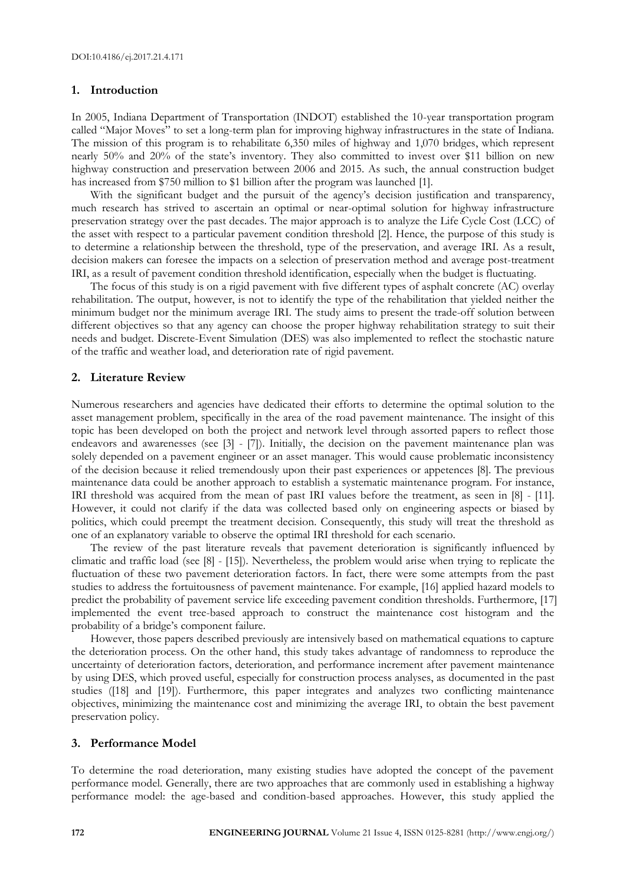#### **1. Introduction**

In 2005, Indiana Department of Transportation (INDOT) established the 10-year transportation program called "Major Moves" to set a long-term plan for improving highway infrastructures in the state of Indiana. The mission of this program is to rehabilitate 6,350 miles of highway and 1,070 bridges, which represent nearly 50% and 20% of the state's inventory. They also committed to invest over \$11 billion on new highway construction and preservation between 2006 and 2015. As such, the annual construction budget has increased from \$750 million to \$1 billion after the program was launched [1].

With the significant budget and the pursuit of the agency's decision justification and transparency, much research has strived to ascertain an optimal or near-optimal solution for highway infrastructure preservation strategy over the past decades. The major approach is to analyze the Life Cycle Cost (LCC) of the asset with respect to a particular pavement condition threshold [2]. Hence, the purpose of this study is to determine a relationship between the threshold, type of the preservation, and average IRI. As a result, decision makers can foresee the impacts on a selection of preservation method and average post-treatment IRI, as a result of pavement condition threshold identification, especially when the budget is fluctuating.

The focus of this study is on a rigid pavement with five different types of asphalt concrete (AC) overlay rehabilitation. The output, however, is not to identify the type of the rehabilitation that yielded neither the minimum budget nor the minimum average IRI. The study aims to present the trade-off solution between different objectives so that any agency can choose the proper highway rehabilitation strategy to suit their needs and budget. Discrete-Event Simulation (DES) was also implemented to reflect the stochastic nature of the traffic and weather load, and deterioration rate of rigid pavement.

#### **2. Literature Review**

Numerous researchers and agencies have dedicated their efforts to determine the optimal solution to the asset management problem, specifically in the area of the road pavement maintenance. The insight of this topic has been developed on both the project and network level through assorted papers to reflect those endeavors and awarenesses (see [3] - [7]). Initially, the decision on the pavement maintenance plan was solely depended on a pavement engineer or an asset manager. This would cause problematic inconsistency of the decision because it relied tremendously upon their past experiences or appetences [8]. The previous maintenance data could be another approach to establish a systematic maintenance program. For instance, IRI threshold was acquired from the mean of past IRI values before the treatment, as seen in [8] - [11]. However, it could not clarify if the data was collected based only on engineering aspects or biased by politics, which could preempt the treatment decision. Consequently, this study will treat the threshold as one of an explanatory variable to observe the optimal IRI threshold for each scenario.

The review of the past literature reveals that pavement deterioration is significantly influenced by climatic and traffic load (see [8] - [15]). Nevertheless, the problem would arise when trying to replicate the fluctuation of these two pavement deterioration factors. In fact, there were some attempts from the past studies to address the fortuitousness of pavement maintenance. For example, [16] applied hazard models to predict the probability of pavement service life exceeding pavement condition thresholds. Furthermore, [17] implemented the event tree-based approach to construct the maintenance cost histogram and the probability of a bridge's component failure.

However, those papers described previously are intensively based on mathematical equations to capture the deterioration process. On the other hand, this study takes advantage of randomness to reproduce the uncertainty of deterioration factors, deterioration, and performance increment after pavement maintenance by using DES, which proved useful, especially for construction process analyses, as documented in the past studies ([18] and [19]). Furthermore, this paper integrates and analyzes two conflicting maintenance objectives, minimizing the maintenance cost and minimizing the average IRI, to obtain the best pavement preservation policy.

#### **3. Performance Model**

To determine the road deterioration, many existing studies have adopted the concept of the pavement performance model. Generally, there are two approaches that are commonly used in establishing a highway performance model: the age-based and condition-based approaches. However, this study applied the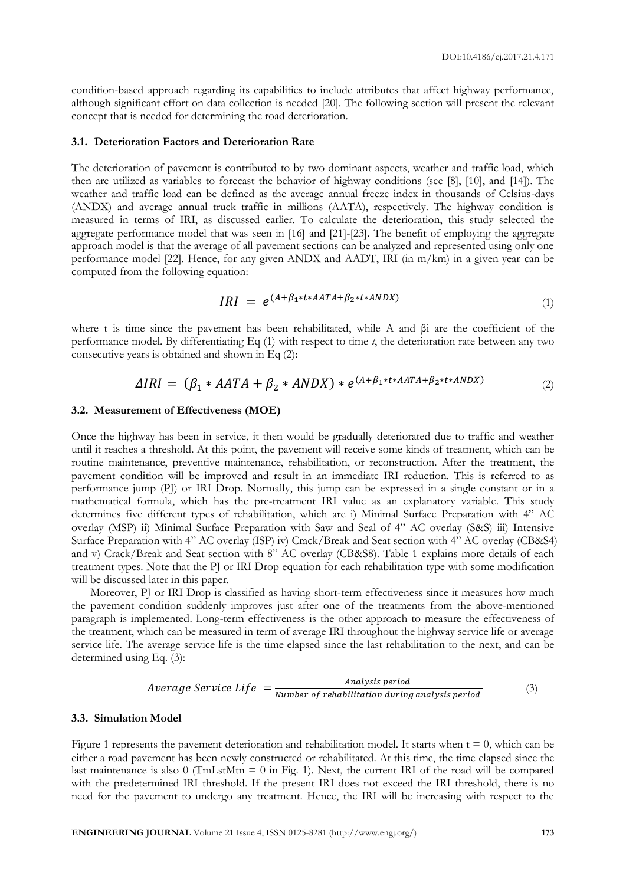condition-based approach regarding its capabilities to include attributes that affect highway performance, although significant effort on data collection is needed [20]. The following section will present the relevant concept that is needed for determining the road deterioration.

#### **3.1. Deterioration Factors and Deterioration Rate**

The deterioration of pavement is contributed to by two dominant aspects, weather and traffic load, which then are utilized as variables to forecast the behavior of highway conditions (see [8], [10], and [14]). The weather and traffic load can be defined as the average annual freeze index in thousands of Celsius-days (ANDX) and average annual truck traffic in millions (AATA), respectively. The highway condition is measured in terms of IRI, as discussed earlier. To calculate the deterioration, this study selected the aggregate performance model that was seen in [16] and [21]-[23]. The benefit of employing the aggregate approach model is that the average of all pavement sections can be analyzed and represented using only one performance model [22]. Hence, for any given ANDX and AADT, IRI (in m/km) in a given year can be computed from the following equation:

$$
IRI = e^{(A+\beta_1*t*AATA+\beta_2*t*ANDX)}
$$
\n<sup>(1)</sup>

where t is time since the pavement has been rehabilitated, while A and βi are the coefficient of the performance model. By differentiating Eq (1) with respect to time *t*, the deterioration rate between any two consecutive years is obtained and shown in Eq (2):

$$
\Delta IRI = (\beta_1 * AATA + \beta_2 * ANDX) * e^{(A+\beta_1 * t * AATA + \beta_2 * t * ANDX)}
$$
\n<sup>(2)</sup>

#### **3.2. Measurement of Effectiveness (MOE)**

Once the highway has been in service, it then would be gradually deteriorated due to traffic and weather until it reaches a threshold. At this point, the pavement will receive some kinds of treatment, which can be routine maintenance, preventive maintenance, rehabilitation, or reconstruction. After the treatment, the pavement condition will be improved and result in an immediate IRI reduction. This is referred to as performance jump (PJ) or IRI Drop. Normally, this jump can be expressed in a single constant or in a mathematical formula, which has the pre-treatment IRI value as an explanatory variable. This study determines five different types of rehabilitation, which are i) Minimal Surface Preparation with 4" AC overlay (MSP) ii) Minimal Surface Preparation with Saw and Seal of 4" AC overlay (S&S) iii) Intensive Surface Preparation with 4" AC overlay (ISP) iv) Crack/Break and Seat section with 4" AC overlay (CB&S4) and v) Crack/Break and Seat section with 8" AC overlay (CB&S8). Table 1 explains more details of each treatment types. Note that the PJ or IRI Drop equation for each rehabilitation type with some modification will be discussed later in this paper.

Moreover, PJ or IRI Drop is classified as having short-term effectiveness since it measures how much the pavement condition suddenly improves just after one of the treatments from the above-mentioned paragraph is implemented. Long-term effectiveness is the other approach to measure the effectiveness of the treatment, which can be measured in term of average IRI throughout the highway service life or average service life. The average service life is the time elapsed since the last rehabilitation to the next, and can be determined using Eq. (3):

$$
Average Service Life = \frac{Analysis period}{Number of rehabilitation during analysis period}
$$
 (3)

#### **3.3. Simulation Model**

Figure 1 represents the pavement deterioration and rehabilitation model. It starts when  $t = 0$ , which can be either a road pavement has been newly constructed or rehabilitated. At this time, the time elapsed since the last maintenance is also  $0$  (TmLstMtn =  $0$  in Fig. 1). Next, the current IRI of the road will be compared with the predetermined IRI threshold. If the present IRI does not exceed the IRI threshold, there is no need for the pavement to undergo any treatment. Hence, the IRI will be increasing with respect to the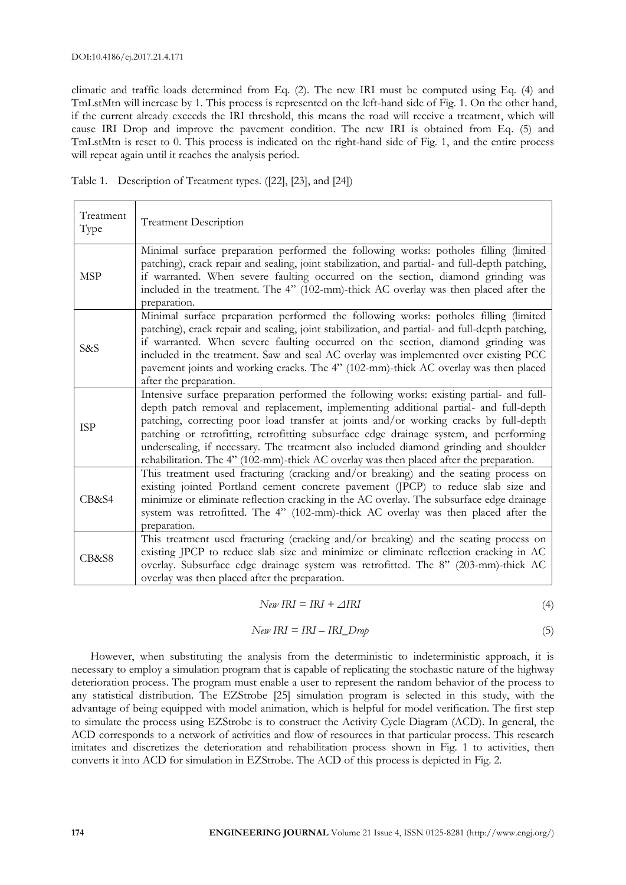climatic and traffic loads determined from Eq. (2). The new IRI must be computed using Eq. (4) and TmLstMtn will increase by 1. This process is represented on the left-hand side of Fig. 1. On the other hand, if the current already exceeds the IRI threshold, this means the road will receive a treatment, which will cause IRI Drop and improve the pavement condition. The new IRI is obtained from Eq. (5) and TmLstMtn is reset to 0. This process is indicated on the right-hand side of Fig. 1, and the entire process will repeat again until it reaches the analysis period.

| Table 1. Description of Treatment types. ([22], [23], and [24]) |  |  |
|-----------------------------------------------------------------|--|--|
|-----------------------------------------------------------------|--|--|

| Treatment<br>Type | <b>Treatment Description</b>                                                                                                                                                                                                                                                                                                                                                                                                                                                                                                                            |
|-------------------|---------------------------------------------------------------------------------------------------------------------------------------------------------------------------------------------------------------------------------------------------------------------------------------------------------------------------------------------------------------------------------------------------------------------------------------------------------------------------------------------------------------------------------------------------------|
| <b>MSP</b>        | Minimal surface preparation performed the following works: potholes filling (limited<br>patching), crack repair and sealing, joint stabilization, and partial- and full-depth patching,<br>if warranted. When severe faulting occurred on the section, diamond grinding was<br>included in the treatment. The 4" (102-mm)-thick AC overlay was then placed after the<br>preparation.                                                                                                                                                                    |
| S&S               | Minimal surface preparation performed the following works: potholes filling (limited<br>patching), crack repair and sealing, joint stabilization, and partial- and full-depth patching,<br>if warranted. When severe faulting occurred on the section, diamond grinding was<br>included in the treatment. Saw and seal AC overlay was implemented over existing PCC<br>pavement joints and working cracks. The 4" (102-mm)-thick AC overlay was then placed<br>after the preparation.                                                                   |
| <b>ISP</b>        | Intensive surface preparation performed the following works: existing partial- and full-<br>depth patch removal and replacement, implementing additional partial- and full-depth<br>patching, correcting poor load transfer at joints and/or working cracks by full-depth<br>patching or retrofitting, retrofitting subsurface edge drainage system, and performing<br>undersealing, if necessary. The treatment also included diamond grinding and shoulder<br>rehabilitation. The 4" (102-mm)-thick AC overlay was then placed after the preparation. |
| CB&S4             | This treatment used fracturing (cracking and/or breaking) and the seating process on<br>existing jointed Portland cement concrete pavement (JPCP) to reduce slab size and<br>minimize or eliminate reflection cracking in the AC overlay. The subsurface edge drainage<br>system was retrofitted. The 4" (102-mm)-thick AC overlay was then placed after the<br>preparation.                                                                                                                                                                            |
| CB&S8             | This treatment used fracturing (cracking and/or breaking) and the seating process on<br>existing JPCP to reduce slab size and minimize or eliminate reflection cracking in AC<br>overlay. Subsurface edge drainage system was retrofitted. The 8" (203-mm)-thick AC<br>overlay was then placed after the preparation.                                                                                                                                                                                                                                   |

$$
New IRI = IRI + \triangle IRI \tag{4}
$$

$$
New IRI = IRI - IRI\_Drop
$$
\n<sup>(5)</sup>

However, when substituting the analysis from the deterministic to indeterministic approach, it is necessary to employ a simulation program that is capable of replicating the stochastic nature of the highway deterioration process. The program must enable a user to represent the random behavior of the process to any statistical distribution. The EZStrobe [25] simulation program is selected in this study, with the advantage of being equipped with model animation, which is helpful for model verification. The first step to simulate the process using EZStrobe is to construct the Activity Cycle Diagram (ACD). In general, the ACD corresponds to a network of activities and flow of resources in that particular process. This research imitates and discretizes the deterioration and rehabilitation process shown in Fig. 1 to activities, then converts it into ACD for simulation in EZStrobe. The ACD of this process is depicted in Fig. 2.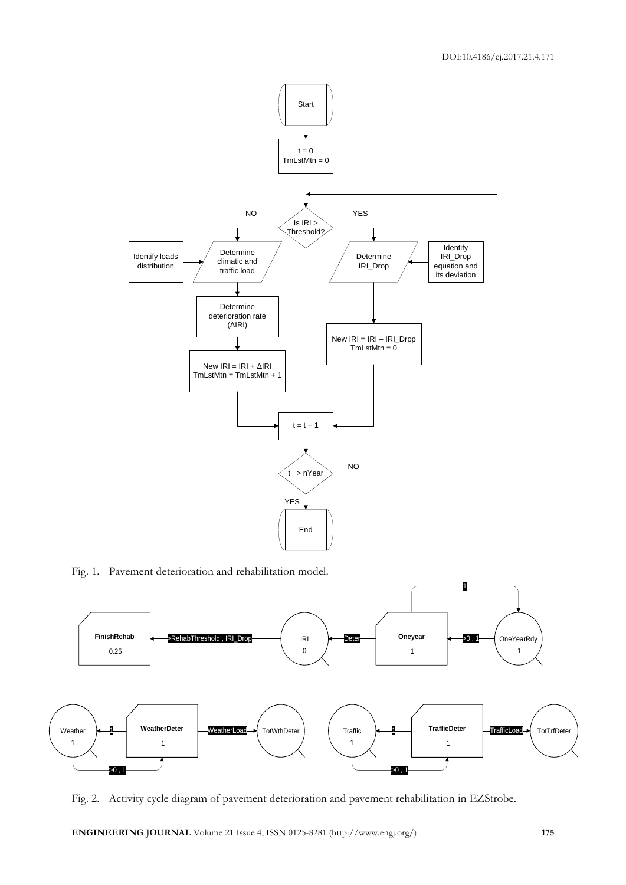

Fig. 1. Pavement deterioration and rehabilitation model.



Fig. 2. Activity cycle diagram of pavement deterioration and pavement rehabilitation in EZStrobe.

**ENGINEERING JOURNAL** Volume 21 Issue 4, ISSN 0125-8281 (http://www.engj.org/) **175**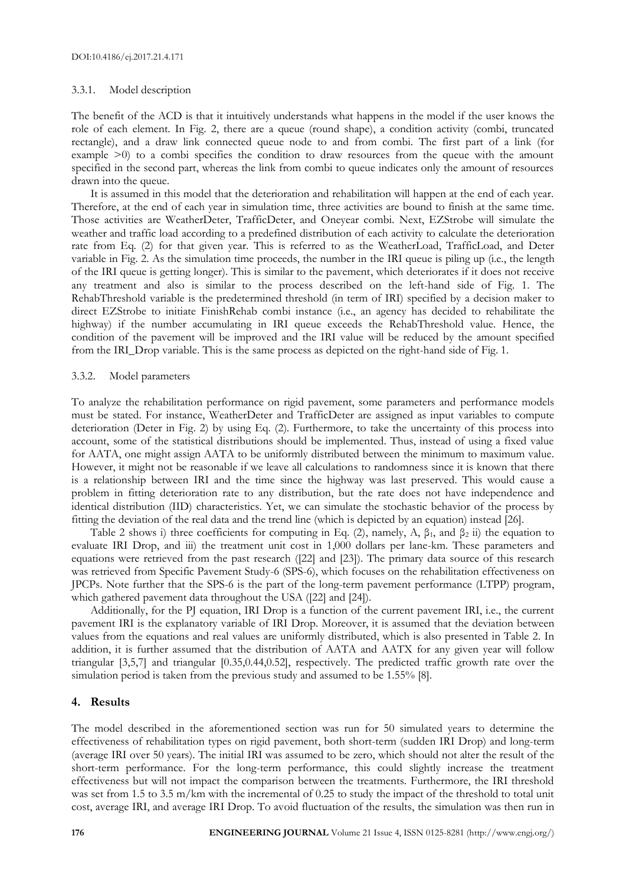#### 3.3.1. Model description

The benefit of the ACD is that it intuitively understands what happens in the model if the user knows the role of each element. In Fig. 2, there are a queue (round shape), a condition activity (combi, truncated rectangle), and a draw link connected queue node to and from combi. The first part of a link (for example >0) to a combi specifies the condition to draw resources from the queue with the amount specified in the second part, whereas the link from combi to queue indicates only the amount of resources drawn into the queue.

It is assumed in this model that the deterioration and rehabilitation will happen at the end of each year. Therefore, at the end of each year in simulation time, three activities are bound to finish at the same time. Those activities are WeatherDeter, TrafficDeter, and Oneyear combi. Next, EZStrobe will simulate the weather and traffic load according to a predefined distribution of each activity to calculate the deterioration rate from Eq. (2) for that given year. This is referred to as the WeatherLoad, TrafficLoad, and Deter variable in Fig. 2. As the simulation time proceeds, the number in the IRI queue is piling up (i.e., the length of the IRI queue is getting longer). This is similar to the pavement, which deteriorates if it does not receive any treatment and also is similar to the process described on the left-hand side of Fig. 1. The RehabThreshold variable is the predetermined threshold (in term of IRI) specified by a decision maker to direct EZStrobe to initiate FinishRehab combi instance (i.e., an agency has decided to rehabilitate the highway) if the number accumulating in IRI queue exceeds the RehabThreshold value. Hence, the condition of the pavement will be improved and the IRI value will be reduced by the amount specified from the IRI\_Drop variable. This is the same process as depicted on the right-hand side of Fig. 1.

#### 3.3.2. Model parameters

To analyze the rehabilitation performance on rigid pavement, some parameters and performance models must be stated. For instance, WeatherDeter and TrafficDeter are assigned as input variables to compute deterioration (Deter in Fig. 2) by using Eq. (2). Furthermore, to take the uncertainty of this process into account, some of the statistical distributions should be implemented. Thus, instead of using a fixed value for AATA, one might assign AATA to be uniformly distributed between the minimum to maximum value. However, it might not be reasonable if we leave all calculations to randomness since it is known that there is a relationship between IRI and the time since the highway was last preserved. This would cause a problem in fitting deterioration rate to any distribution, but the rate does not have independence and identical distribution (IID) characteristics. Yet, we can simulate the stochastic behavior of the process by fitting the deviation of the real data and the trend line (which is depicted by an equation) instead [26].

Table 2 shows i) three coefficients for computing in Eq. (2), namely, A,  $\beta_1$ , and  $\beta_2$  ii) the equation to evaluate IRI Drop, and iii) the treatment unit cost in 1,000 dollars per lane-km. These parameters and equations were retrieved from the past research ([22] and [23]). The primary data source of this research was retrieved from Specific Pavement Study-6 (SPS-6), which focuses on the rehabilitation effectiveness on JPCPs. Note further that the SPS-6 is the part of the long-term pavement performance (LTPP) program, which gathered pavement data throughout the USA ([22] and [24]).

Additionally, for the PJ equation, IRI Drop is a function of the current pavement IRI, i.e., the current pavement IRI is the explanatory variable of IRI Drop. Moreover, it is assumed that the deviation between values from the equations and real values are uniformly distributed, which is also presented in Table 2. In addition, it is further assumed that the distribution of AATA and AATX for any given year will follow triangular [3,5,7] and triangular [0.35,0.44,0.52], respectively. The predicted traffic growth rate over the simulation period is taken from the previous study and assumed to be 1.55% [8].

# **4. Results**

The model described in the aforementioned section was run for 50 simulated years to determine the effectiveness of rehabilitation types on rigid pavement, both short-term (sudden IRI Drop) and long-term (average IRI over 50 years). The initial IRI was assumed to be zero, which should not alter the result of the short-term performance. For the long-term performance, this could slightly increase the treatment effectiveness but will not impact the comparison between the treatments. Furthermore, the IRI threshold was set from 1.5 to 3.5 m/km with the incremental of 0.25 to study the impact of the threshold to total unit cost, average IRI, and average IRI Drop. To avoid fluctuation of the results, the simulation was then run in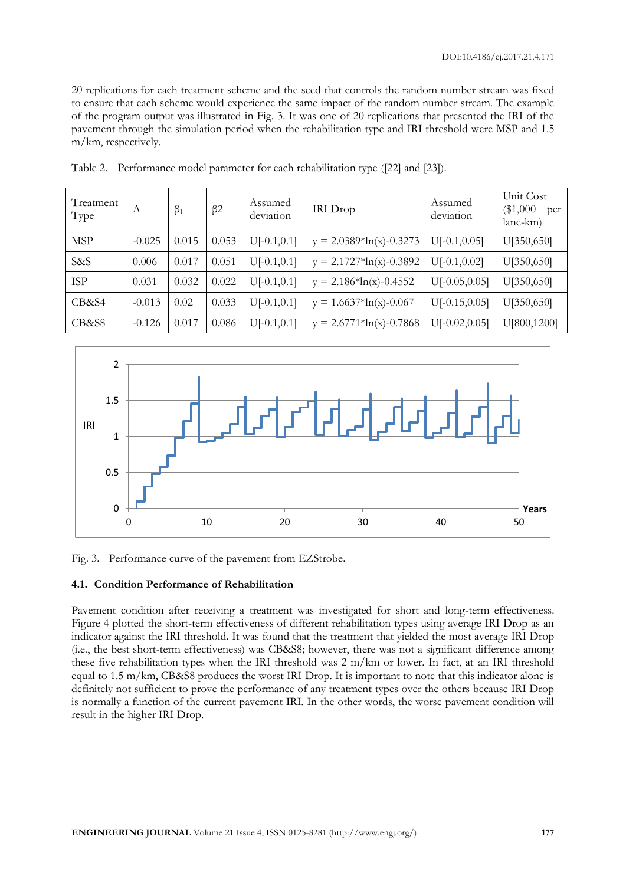20 replications for each treatment scheme and the seed that controls the random number stream was fixed to ensure that each scheme would experience the same impact of the random number stream. The example of the program output was illustrated in Fig. 3. It was one of 20 replications that presented the IRI of the pavement through the simulation period when the rehabilitation type and IRI threshold were MSP and 1.5 m/km, respectively.

| Treatment<br>Type | А        | $\beta_1$ | $\beta$ 2 | Assumed<br>deviation | IRI Drop                  | Assumed<br>deviation | Unit Cost<br>$(\$1,000$<br>per<br>lane-km) |
|-------------------|----------|-----------|-----------|----------------------|---------------------------|----------------------|--------------------------------------------|
| <b>MSP</b>        | $-0.025$ | 0.015     | 0.053     | $U[-0.1, 0.1]$       | $y = 2.0389*ln(x)-0.3273$ | $U[-0.1, 0.05]$      | U[350,650]                                 |
| S&S               | 0.006    | 0.017     | 0.051     | $U[-0.1, 0.1]$       | $y = 2.1727*ln(x)-0.3892$ | $U[-0.1, 0.02]$      | U[350,650]                                 |
| <b>ISP</b>        | 0.031    | 0.032     | 0.022     | $U[-0.1, 0.1]$       | $y = 2.186*ln(x)-0.4552$  | $U[-0.05, 0.05]$     | U[350,650]                                 |
| CB&S4             | $-0.013$ | 0.02      | 0.033     | $U[-0.1, 0.1]$       | $y = 1.6637*ln(x)-0.067$  | $U[-0.15, 0.05]$     | U[350,650]                                 |
| CB&S8             | $-0.126$ | 0.017     | 0.086     | $U[-0.1, 0.1]$       | $y = 2.6771*ln(x)-0.7868$ | $U[-0.02, 0.05]$     | U[800,1200]                                |

Table 2. Performance model parameter for each rehabilitation type ([22] and [23]).



Fig. 3. Performance curve of the pavement from EZStrobe.

#### **4.1. Condition Performance of Rehabilitation**

Pavement condition after receiving a treatment was investigated for short and long-term effectiveness. Figure 4 plotted the short-term effectiveness of different rehabilitation types using average IRI Drop as an indicator against the IRI threshold. It was found that the treatment that yielded the most average IRI Drop (i.e., the best short-term effectiveness) was CB&S8; however, there was not a significant difference among these five rehabilitation types when the IRI threshold was 2 m/km or lower. In fact, at an IRI threshold equal to 1.5 m/km, CB&S8 produces the worst IRI Drop. It is important to note that this indicator alone is definitely not sufficient to prove the performance of any treatment types over the others because IRI Drop is normally a function of the current pavement IRI. In the other words, the worse pavement condition will result in the higher IRI Drop.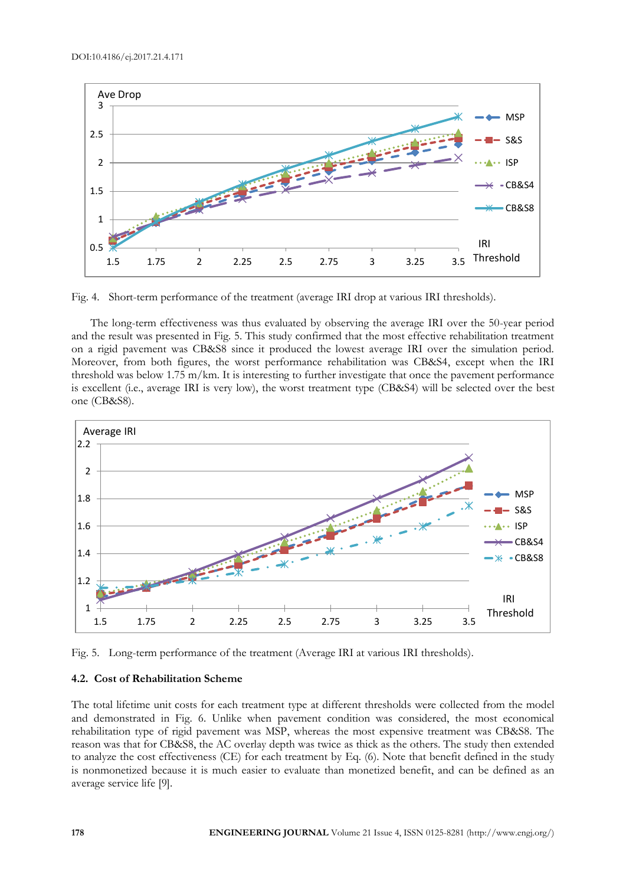

Fig. 4. Short-term performance of the treatment (average IRI drop at various IRI thresholds).

The long-term effectiveness was thus evaluated by observing the average IRI over the 50-year period and the result was presented in Fig. 5. This study confirmed that the most effective rehabilitation treatment on a rigid pavement was CB&S8 since it produced the lowest average IRI over the simulation period. Moreover, from both figures, the worst performance rehabilitation was CB&S4, except when the IRI threshold was below 1.75 m/km. It is interesting to further investigate that once the pavement performance is excellent (i.e., average IRI is very low), the worst treatment type (CB&S4) will be selected over the best one (CB&S8).



Fig. 5. Long-term performance of the treatment (Average IRI at various IRI thresholds).

### **4.2. Cost of Rehabilitation Scheme**

The total lifetime unit costs for each treatment type at different thresholds were collected from the model and demonstrated in Fig. 6. Unlike when pavement condition was considered, the most economical rehabilitation type of rigid pavement was MSP, whereas the most expensive treatment was CB&S8. The reason was that for CB&S8, the AC overlay depth was twice as thick as the others. The study then extended to analyze the cost effectiveness (CE) for each treatment by Eq. (6). Note that benefit defined in the study is nonmonetized because it is much easier to evaluate than monetized benefit, and can be defined as an average service life [9].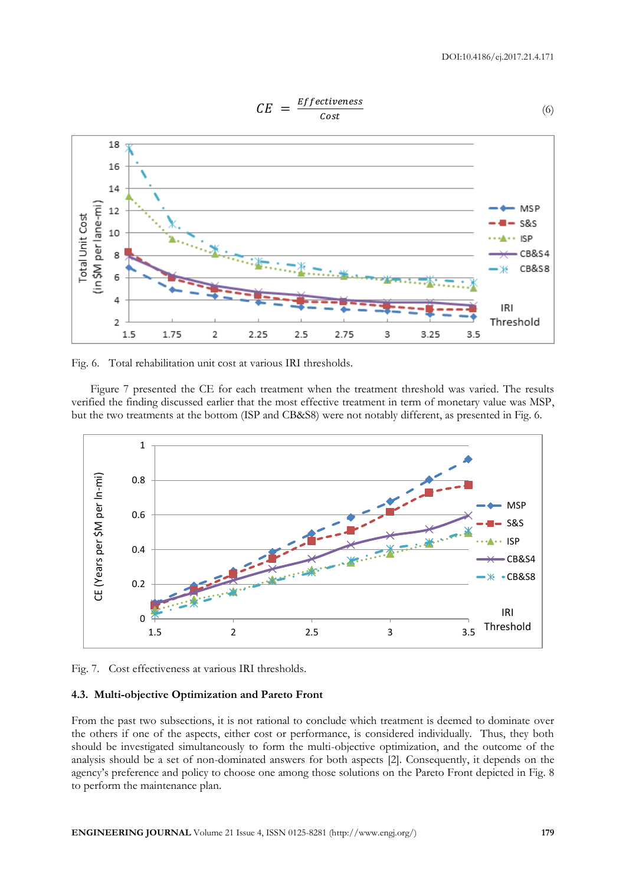

Fig. 6. Total rehabilitation unit cost at various IRI thresholds.

Figure 7 presented the CE for each treatment when the treatment threshold was varied. The results verified the finding discussed earlier that the most effective treatment in term of monetary value was MSP, but the two treatments at the bottom (ISP and CB&S8) were not notably different, as presented in Fig. 6.



Fig. 7. Cost effectiveness at various IRI thresholds.

# **4.3. Multi-objective Optimization and Pareto Front**

From the past two subsections, it is not rational to conclude which treatment is deemed to dominate over the others if one of the aspects, either cost or performance, is considered individually. Thus, they both should be investigated simultaneously to form the multi-objective optimization, and the outcome of the analysis should be a set of non-dominated answers for both aspects [2]. Consequently, it depends on the agency's preference and policy to choose one among those solutions on the Pareto Front depicted in Fig. 8 to perform the maintenance plan.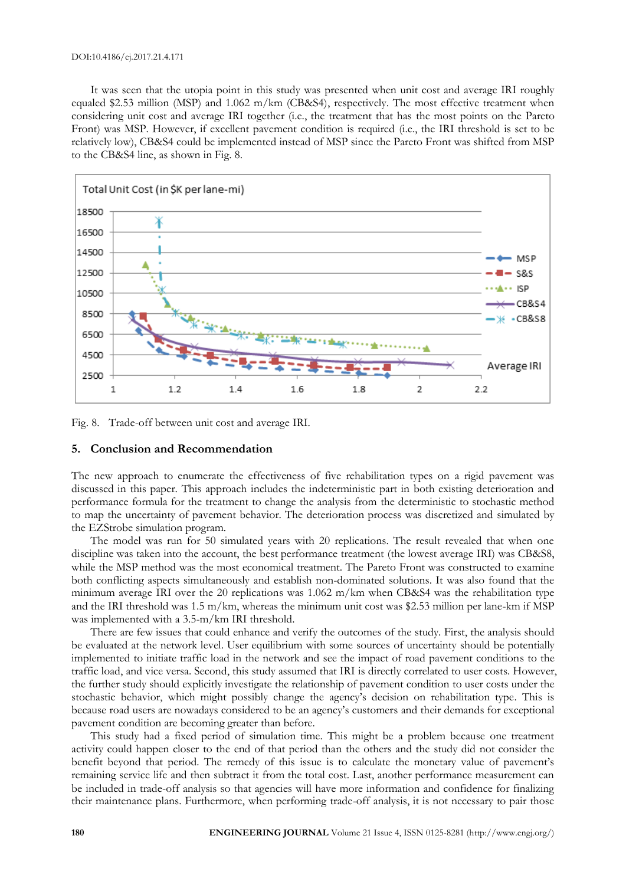It was seen that the utopia point in this study was presented when unit cost and average IRI roughly equaled \$2.53 million (MSP) and 1.062 m/km (CB&S4), respectively. The most effective treatment when considering unit cost and average IRI together (i.e., the treatment that has the most points on the Pareto Front) was MSP. However, if excellent pavement condition is required (i.e., the IRI threshold is set to be relatively low), CB&S4 could be implemented instead of MSP since the Pareto Front was shifted from MSP to the CB&S4 line, as shown in Fig. 8.



Fig. 8. Trade-off between unit cost and average IRI.

#### **5. Conclusion and Recommendation**

The new approach to enumerate the effectiveness of five rehabilitation types on a rigid pavement was discussed in this paper. This approach includes the indeterministic part in both existing deterioration and performance formula for the treatment to change the analysis from the deterministic to stochastic method to map the uncertainty of pavement behavior. The deterioration process was discretized and simulated by the EZStrobe simulation program.

The model was run for 50 simulated years with 20 replications. The result revealed that when one discipline was taken into the account, the best performance treatment (the lowest average IRI) was CB&S8, while the MSP method was the most economical treatment. The Pareto Front was constructed to examine both conflicting aspects simultaneously and establish non-dominated solutions. It was also found that the minimum average IRI over the 20 replications was 1.062 m/km when CB&S4 was the rehabilitation type and the IRI threshold was 1.5 m/km, whereas the minimum unit cost was \$2.53 million per lane-km if MSP was implemented with a 3.5-m/km IRI threshold.

There are few issues that could enhance and verify the outcomes of the study. First, the analysis should be evaluated at the network level. User equilibrium with some sources of uncertainty should be potentially implemented to initiate traffic load in the network and see the impact of road pavement conditions to the traffic load, and vice versa. Second, this study assumed that IRI is directly correlated to user costs. However, the further study should explicitly investigate the relationship of pavement condition to user costs under the stochastic behavior, which might possibly change the agency's decision on rehabilitation type. This is because road users are nowadays considered to be an agency's customers and their demands for exceptional pavement condition are becoming greater than before.

This study had a fixed period of simulation time. This might be a problem because one treatment activity could happen closer to the end of that period than the others and the study did not consider the benefit beyond that period. The remedy of this issue is to calculate the monetary value of pavement's remaining service life and then subtract it from the total cost. Last, another performance measurement can be included in trade-off analysis so that agencies will have more information and confidence for finalizing their maintenance plans. Furthermore, when performing trade-off analysis, it is not necessary to pair those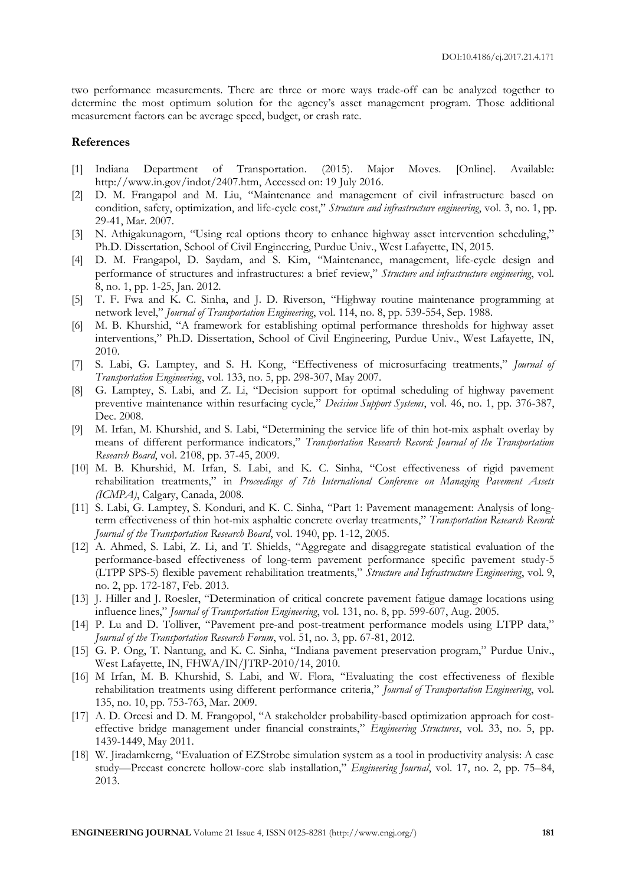two performance measurements. There are three or more ways trade-off can be analyzed together to determine the most optimum solution for the agency's asset management program. Those additional measurement factors can be average speed, budget, or crash rate.

#### **References**

- [1] Indiana Department of Transportation. (2015). Major Moves. [Online]. Available: http://www.in.gov/indot/2407.htm, Accessed on: 19 July 2016.
- [2] D. M. Frangapol and M. Liu, "Maintenance and management of civil infrastructure based on condition, safety, optimization, and life-cycle cost," *Structure and infrastructure engineering*, vol. 3, no. 1, pp. 29-41, Mar. 2007.
- [3] N. Athigakunagorn, "Using real options theory to enhance highway asset intervention scheduling," Ph.D. Dissertation, School of Civil Engineering, Purdue Univ., West Lafayette, IN, 2015.
- [4] D. M. Frangapol, D. Saydam, and S. Kim, "Maintenance, management, life-cycle design and performance of structures and infrastructures: a brief review," *Structure and infrastructure engineering*, vol. 8, no. 1, pp. 1-25, Jan. 2012.
- [5] T. F. Fwa and K. C. Sinha, and J. D. Riverson, "Highway routine maintenance programming at network level," *Journal of Transportation Engineering*, vol. 114, no. 8, pp. 539-554, Sep. 1988.
- [6] M. B. Khurshid, "A framework for establishing optimal performance thresholds for highway asset interventions," Ph.D. Dissertation, School of Civil Engineering, Purdue Univ., West Lafayette, IN, 2010.
- [7] S. Labi, G. Lamptey, and S. H. Kong, "Effectiveness of microsurfacing treatments," *Journal of Transportation Engineering*, vol. 133, no. 5, pp. 298-307, May 2007.
- [8] G. Lamptey, S. Labi, and Z. Li, "Decision support for optimal scheduling of highway pavement preventive maintenance within resurfacing cycle," *Decision Support Systems*, vol. 46, no. 1, pp. 376-387, Dec. 2008.
- [9] M. Irfan, M. Khurshid, and S. Labi, "Determining the service life of thin hot-mix asphalt overlay by means of different performance indicators," *Transportation Research Record: Journal of the Transportation Research Board*, vol. 2108, pp. 37-45, 2009.
- [10] M. B. Khurshid, M. Irfan, S. Labi, and K. C. Sinha, "Cost effectiveness of rigid pavement rehabilitation treatments," in *Proceedings of 7th International Conference on Managing Pavement Assets (ICMPA)*, Calgary, Canada, 2008.
- [11] S. Labi, G. Lamptey, S. Konduri, and K. C. Sinha, "Part 1: Pavement management: Analysis of longterm effectiveness of thin hot-mix asphaltic concrete overlay treatments," *Transportation Research Record: Journal of the Transportation Research Board*, vol. 1940, pp. 1-12, 2005.
- [12] A. Ahmed, S. Labi, Z. Li, and T. Shields, "Aggregate and disaggregate statistical evaluation of the performance-based effectiveness of long-term pavement performance specific pavement study-5 (LTPP SPS-5) flexible pavement rehabilitation treatments," *Structure and Infrastructure Engineering*, vol. 9, no. 2, pp. 172-187, Feb. 2013.
- [13] J. Hiller and J. Roesler, "Determination of critical concrete pavement fatigue damage locations using influence lines," *Journal of Transportation Engineering*, vol. 131, no. 8, pp. 599-607, Aug. 2005.
- [14] P. Lu and D. Tolliver, "Pavement pre-and post-treatment performance models using LTPP data," *Journal of the Transportation Research Forum*, vol. 51, no. 3, pp. 67-81, 2012.
- [15] G. P. Ong, T. Nantung, and K. C. Sinha, "Indiana pavement preservation program," Purdue Univ., West Lafayette, IN, FHWA/IN/JTRP-2010/14, 2010.
- [16] M Irfan, M. B. Khurshid, S. Labi, and W. Flora, "Evaluating the cost effectiveness of flexible rehabilitation treatments using different performance criteria," *Journal of Transportation Engineering*, vol. 135, no. 10, pp. 753-763, Mar. 2009.
- [17] A. D. Orcesi and D. M. Frangopol, "A stakeholder probability-based optimization approach for costeffective bridge management under financial constraints," *Engineering Structures*, vol. 33, no. 5, pp. 1439-1449, May 2011.
- [18] W. Jiradamkerng, "Evaluation of EZStrobe simulation system as a tool in productivity analysis: A case study—Precast concrete hollow-core slab installation," *Engineering Journal*, vol. 17, no. 2, pp. 75–84, 2013.